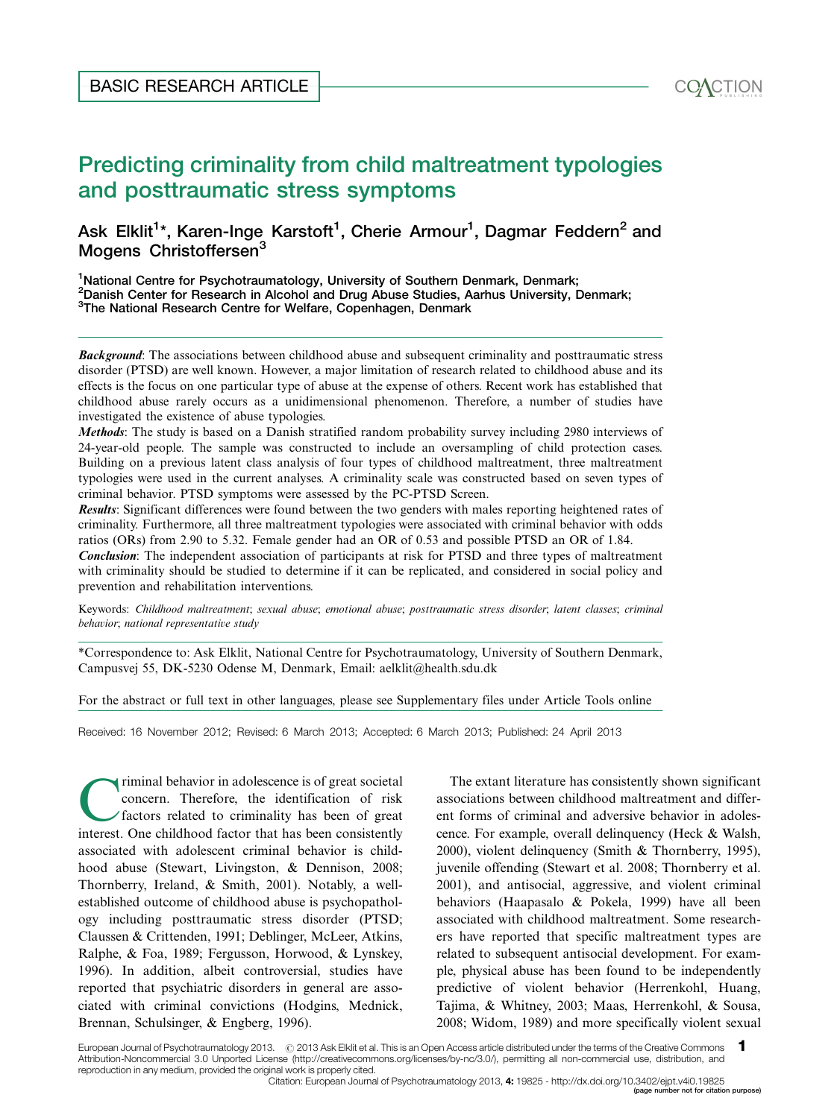# Predicting criminality from child maltreatment typologies and posttraumatic stress symptoms BASIC RESEARCH ARTICLE<br>Predicting criminality from child maltreatment typologies<br>and posttraumatic stress symptoms<br>Ask Elklit<sup>1\*</sup> Karen-lage Karstoft<sup>1</sup>, Charie Armour<sup>1</sup>, Dagmar Eeddern<sup>2</sup> and

# Ask Elklit<sup>1</sup>\*, Karen-Inge Karstoft<sup>1</sup>, Cherie Armour<sup>1</sup>, Dagmar Feddern<sup>2</sup> and Mogens Christoffersen<sup>3</sup>

<sup>1</sup>National Centre for Psychotraumatology, University of Southern Denmark, Denmark; <sup>2</sup>Danish Center for Research in Alcohol and Drug Abuse Studies, Aarhus University, Denmark; <sup>3</sup>The National Research Centre for Welfare, Copenhagen, Denmark

**Background:** The associations between childhood abuse and subsequent criminality and posttraumatic stress disorder (PTSD) are well known. However, a major limitation of research related to childhood abuse and its effects is the focus on one particular type of abuse at the expense of others. Recent work has established that childhood abuse rarely occurs as a unidimensional phenomenon. Therefore, a number of studies have investigated the existence of abuse typologies.

Methods: The study is based on a Danish stratified random probability survey including 2980 interviews of 24-year-old people. The sample was constructed to include an oversampling of child protection cases. Building on a previous latent class analysis of four types of childhood maltreatment, three maltreatment typologies were used in the current analyses. A criminality scale was constructed based on seven types of criminal behavior. PTSD symptoms were assessed by the PC-PTSD Screen.

Results: Significant differences were found between the two genders with males reporting heightened rates of criminality. Furthermore, all three maltreatment typologies were associated with criminal behavior with odds ratios (ORs) from 2.90 to 5.32. Female gender had an OR of 0.53 and possible PTSD an OR of 1.84.

**Conclusion:** The independent association of participants at risk for PTSD and three types of maltreatment with criminality should be studied to determine if it can be replicated, and considered in social policy and prevention and rehabilitation interventions.

Keywords: Childhood maltreatment; sexual abuse; emotional abuse; posttraumatic stress disorder; latent classes; criminal behavior; national representative study

\*Correspondence to: Ask Elklit, National Centre for Psychotraumatology, University of Southern Denmark, Campusvej 55, DK-5230 Odense M, Denmark, Email: aelklit@health.sdu.dk

[For the abstract or full text in other languages, please see Supplementary files under Article Tools online](http://www.eurojnlofpsychotraumatol.net/index.php/ejpt/rt/suppFiles/19825/0)

Received: 16 November 2012; Revised: 6 March 2013; Accepted: 6 March 2013; Published: 24 April 2013

concern. Therefore, the identification of risk<br>factors related to criminality has been of great<br>interest. One childhood factor that has been consistently concern. Therefore, the identification of risk factors related to criminality has been of great interest. One childhood factor that has been consistently associated with adolescent criminal behavior is childhood abuse (Stewart, Livingston, & Dennison, 2008; Thornberry, Ireland, & Smith, 2001). Notably, a wellestablished outcome of childhood abuse is psychopathology including posttraumatic stress disorder (PTSD; Claussen & Crittenden, 1991; Deblinger, McLeer, Atkins, Ralphe, & Foa, 1989; Fergusson, Horwood, & Lynskey, 1996). In addition, albeit controversial, studies have reported that psychiatric disorders in general are associated with criminal convictions (Hodgins, Mednick, Brennan, Schulsinger, & Engberg, 1996).

The extant literature has consistently shown significant associations between childhood maltreatment and different forms of criminal and adversive behavior in adolescence. For example, overall delinquency (Heck & Walsh, 2000), violent delinquency (Smith & Thornberry, 1995), juvenile offending (Stewart et al. 2008; Thornberry et al. 2001), and antisocial, aggressive, and violent criminal behaviors (Haapasalo & Pokela, 1999) have all been associated with childhood maltreatment. Some researchers have reported that specific maltreatment types are related to subsequent antisocial development. For example, physical abuse has been found to be independently predictive of violent behavior (Herrenkohl, Huang, Tajima, & Whitney, 2003; Maas, Herrenkohl, & Sousa, 2008; Widom, 1989) and more specifically violent sexual

European Journal of Psychotraumatology 2013. @ 2013 Ask Elklit et al. This is an Open Access article distributed under the terms of the Creative Commons Attribution-Noncommercial 3.0 Unported License (http://creativecommons.org/licenses/by-nc/3.0/), permitting all non-commercial use, distribution, and reproduction in any medium, provided the original work is properly cited. 1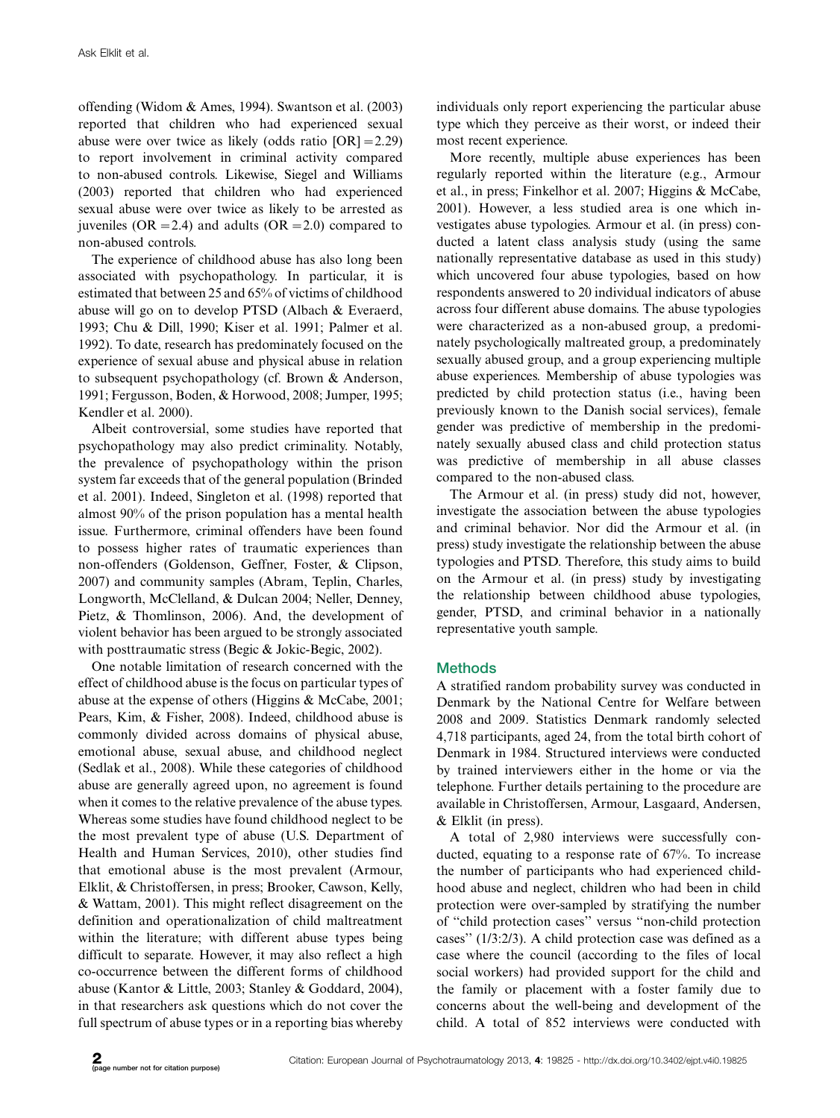offending (Widom & Ames, 1994). Swantson et al. (2003) reported that children who had experienced sexual abuse were over twice as likely (odds ratio [OR]-2.29) to report involvement in criminal activity compared to non-abused controls. Likewise, Siegel and Williams (2003) reported that children who had experienced sexual abuse were over twice as likely to be arrested as juveniles ( $OR = 2.4$ ) and adults ( $OR = 2.0$ ) compared to non-abused controls.

The experience of childhood abuse has also long been associated with psychopathology. In particular, it is estimated that between 25 and 65% of victims of childhood abuse will go on to develop PTSD (Albach & Everaerd, 1993; Chu & Dill, 1990; Kiser et al. 1991; Palmer et al. 1992). To date, research has predominately focused on the experience of sexual abuse and physical abuse in relation to subsequent psychopathology (cf. Brown & Anderson, 1991; Fergusson, Boden, & Horwood, 2008; Jumper, 1995; Kendler et al. 2000).

Albeit controversial, some studies have reported that psychopathology may also predict criminality. Notably, the prevalence of psychopathology within the prison system far exceeds that of the general population (Brinded et al. 2001). Indeed, Singleton et al. (1998) reported that almost 90% of the prison population has a mental health issue. Furthermore, criminal offenders have been found to possess higher rates of traumatic experiences than non-offenders (Goldenson, Geffner, Foster, & Clipson, 2007) and community samples (Abram, Teplin, Charles, Longworth, McClelland, & Dulcan 2004; Neller, Denney, Pietz, & Thomlinson, 2006). And, the development of violent behavior has been argued to be strongly associated with posttraumatic stress (Begic & Jokic-Begic, 2002).

One notable limitation of research concerned with the effect of childhood abuse is the focus on particular types of abuse at the expense of others (Higgins & McCabe, 2001; Pears, Kim, & Fisher, 2008). Indeed, childhood abuse is commonly divided across domains of physical abuse, emotional abuse, sexual abuse, and childhood neglect (Sedlak et al., 2008). While these categories of childhood abuse are generally agreed upon, no agreement is found when it comes to the relative prevalence of the abuse types. Whereas some studies have found childhood neglect to be the most prevalent type of abuse (U.S. Department of Health and Human Services, 2010), other studies find that emotional abuse is the most prevalent (Armour, Elklit, & Christoffersen, in press; Brooker, Cawson, Kelly, & Wattam, 2001). This might reflect disagreement on the definition and operationalization of child maltreatment within the literature; with different abuse types being difficult to separate. However, it may also reflect a high co-occurrence between the different forms of childhood abuse (Kantor & Little, 2003; Stanley & Goddard, 2004), in that researchers ask questions which do not cover the full spectrum of abuse types or in a reporting bias whereby individuals only report experiencing the particular abuse type which they perceive as their worst, or indeed their most recent experience.

More recently, multiple abuse experiences has been regularly reported within the literature (e.g., Armour et al., in press; Finkelhor et al. 2007; Higgins & McCabe, 2001). However, a less studied area is one which investigates abuse typologies. Armour et al. (in press) conducted a latent class analysis study (using the same nationally representative database as used in this study) which uncovered four abuse typologies, based on how respondents answered to 20 individual indicators of abuse across four different abuse domains. The abuse typologies were characterized as a non-abused group, a predominately psychologically maltreated group, a predominately sexually abused group, and a group experiencing multiple abuse experiences. Membership of abuse typologies was predicted by child protection status (i.e., having been previously known to the Danish social services), female gender was predictive of membership in the predominately sexually abused class and child protection status was predictive of membership in all abuse classes compared to the non-abused class.

The Armour et al. (in press) study did not, however, investigate the association between the abuse typologies and criminal behavior. Nor did the Armour et al. (in press) study investigate the relationship between the abuse typologies and PTSD. Therefore, this study aims to build on the Armour et al. (in press) study by investigating the relationship between childhood abuse typologies, gender, PTSD, and criminal behavior in a nationally representative youth sample.

## **Methods**

A stratified random probability survey was conducted in Denmark by the National Centre for Welfare between 2008 and 2009. Statistics Denmark randomly selected 4,718 participants, aged 24, from the total birth cohort of Denmark in 1984. Structured interviews were conducted by trained interviewers either in the home or via the telephone. Further details pertaining to the procedure are available in Christoffersen, Armour, Lasgaard, Andersen, & Elklit (in press).

A total of 2,980 interviews were successfully conducted, equating to a response rate of 67%. To increase the number of participants who had experienced childhood abuse and neglect, children who had been in child protection were over-sampled by stratifying the number of ''child protection cases'' versus ''non-child protection cases'' (1/3:2/3). A child protection case was defined as a case where the council (according to the files of local social workers) had provided support for the child and the family or placement with a foster family due to concerns about the well-being and development of the child. A total of 852 interviews were conducted with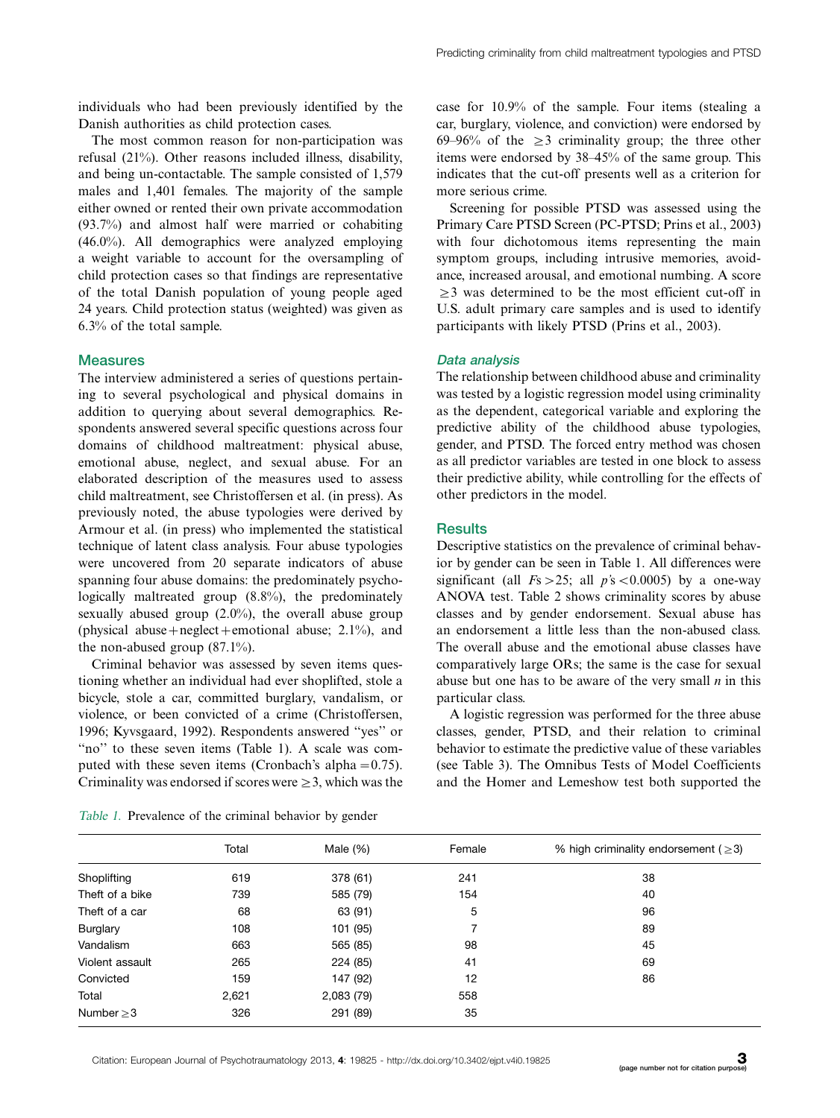individuals who had been previously identified by the Danish authorities as child protection cases.

The most common reason for non-participation was refusal (21%). Other reasons included illness, disability, and being un-contactable. The sample consisted of 1,579 males and 1,401 females. The majority of the sample either owned or rented their own private accommodation (93.7%) and almost half were married or cohabiting (46.0%). All demographics were analyzed employing a weight variable to account for the oversampling of child protection cases so that findings are representative of the total Danish population of young people aged 24 years. Child protection status (weighted) was given as 6.3% of the total sample.

### **Measures**

The interview administered a series of questions pertaining to several psychological and physical domains in addition to querying about several demographics. Respondents answered several specific questions across four domains of childhood maltreatment: physical abuse, emotional abuse, neglect, and sexual abuse. For an elaborated description of the measures used to assess child maltreatment, see Christoffersen et al. (in press). As previously noted, the abuse typologies were derived by Armour et al. (in press) who implemented the statistical technique of latent class analysis. Four abuse typologies were uncovered from 20 separate indicators of abuse spanning four abuse domains: the predominately psychologically maltreated group (8.8%), the predominately sexually abused group (2.0%), the overall abuse group (physical abuse+neglect+emotional abuse;  $2.1\%$ ), and the non-abused group (87.1%).

Criminal behavior was assessed by seven items questioning whether an individual had ever shoplifted, stole a bicycle, stole a car, committed burglary, vandalism, or violence, or been convicted of a crime (Christoffersen, 1996; Kyvsgaard, 1992). Respondents answered ''yes'' or "no" to these seven items (Table 1). A scale was computed with these seven items (Cronbach's alpha $= 0.75$ ). Criminality was endorsed if scores were  $\geq$  3, which was the

Table 1. Prevalence of the criminal behavior by gender

case for 10.9% of the sample. Four items (stealing a car, burglary, violence, and conviction) were endorsed by 69–96% of the  $\geq$ 3 criminality group; the three other items were endorsed by 38-45% of the same group. This indicates that the cut-off presents well as a criterion for more serious crime.

Screening for possible PTSD was assessed using the Primary Care PTSD Screen (PC-PTSD; Prins et al., 2003) with four dichotomous items representing the main symptom groups, including intrusive memories, avoidance, increased arousal, and emotional numbing. A score  $\geq$ 3 was determined to be the most efficient cut-off in U.S. adult primary care samples and is used to identify participants with likely PTSD (Prins et al., 2003).

### Data analysis

The relationship between childhood abuse and criminality was tested by a logistic regression model using criminality as the dependent, categorical variable and exploring the predictive ability of the childhood abuse typologies, gender, and PTSD. The forced entry method was chosen as all predictor variables are tested in one block to assess their predictive ability, while controlling for the effects of other predictors in the model.

### **Results**

Descriptive statistics on the prevalence of criminal behavior by gender can be seen in Table 1. All differences were significant (all  $Fs > 25$ ; all  $p's < 0.0005$ ) by a one-way ANOVA test. Table 2 shows criminality scores by abuse classes and by gender endorsement. Sexual abuse has an endorsement a little less than the non-abused class. The overall abuse and the emotional abuse classes have comparatively large ORs; the same is the case for sexual abuse but one has to be aware of the very small  $n$  in this particular class.

A logistic regression was performed for the three abuse classes, gender, PTSD, and their relation to criminal behavior to estimate the predictive value of these variables (see Table 3). The Omnibus Tests of Model Coefficients and the Homer and Lemeshow test both supported the

|                                | Total | Male $(\%)$          | Female | % high criminality endorsement ( $\geq$ 3) |  |  |
|--------------------------------|-------|----------------------|--------|--------------------------------------------|--|--|
|                                | 619   |                      | 241    | 38                                         |  |  |
| Shoplifting<br>Theft of a bike | 739   | 378 (61)<br>585 (79) | 154    | 40                                         |  |  |
| Theft of a car                 | 68    | 63 (91)              | 5      | 96                                         |  |  |
| <b>Burglary</b>                | 108   | 101 (95)             |        | 89                                         |  |  |
| Vandalism                      | 663   | 565 (85)             | 98     | 45                                         |  |  |
| Violent assault                | 265   | 224 (85)             | 41     | 69                                         |  |  |
| Convicted                      | 159   | 147 (92)             | 12     | 86                                         |  |  |
| Total                          | 2,621 | 2,083 (79)           | 558    |                                            |  |  |
| Number $\geq$ 3                | 326   | 291 (89)             | 35     |                                            |  |  |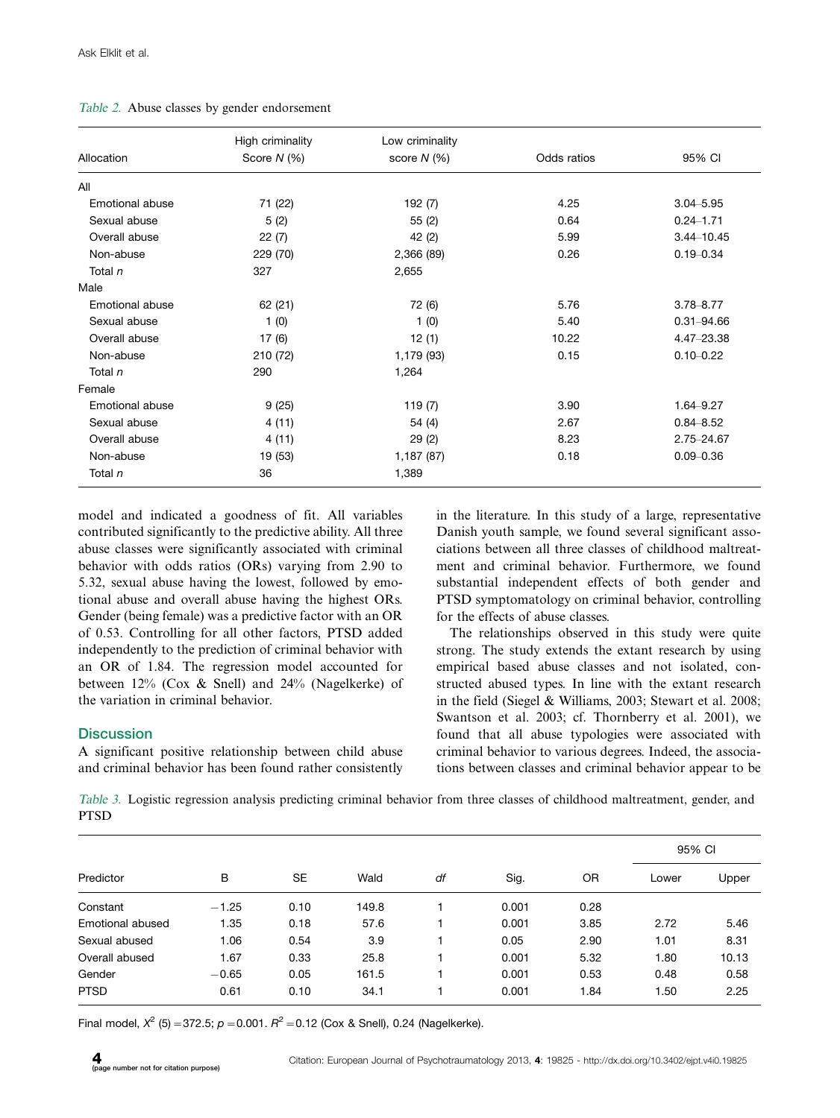|  |  |  |  |  | Table 2. Abuse classes by gender endorsement |
|--|--|--|--|--|----------------------------------------------|
|--|--|--|--|--|----------------------------------------------|

|                 | High criminality | Low criminality |             | 95% CI         |  |
|-----------------|------------------|-----------------|-------------|----------------|--|
| Allocation      | Score $N$ (%)    | score $N$ (%)   | Odds ratios |                |  |
| All             |                  |                 |             |                |  |
| Emotional abuse | 71 (22)          | 192 (7)         | 4.25        | $3.04 - 5.95$  |  |
| Sexual abuse    | 5(2)             | 0.64<br>55(2)   |             | $0.24 - 1.71$  |  |
| Overall abuse   | 22(7)            | 42 (2)          | 5.99        | $3.44 - 10.45$ |  |
| Non-abuse       | 229 (70)         | 2,366 (89)      | 0.26        | $0.19 - 0.34$  |  |
| Total n         | 327              | 2,655           |             |                |  |
| Male            |                  |                 |             |                |  |
| Emotional abuse | 62 (21)          | 72 (6)          | 5.76        | $3.78 - 8.77$  |  |
| Sexual abuse    | 1(0)             | 1(0)            | 5.40        | $0.31 - 94.66$ |  |
| Overall abuse   | 17(6)            | 12(1)           | 10.22       | 4.47-23.38     |  |
| Non-abuse       | 210 (72)         | 1,179 (93)      | 0.15        | $0.10 - 0.22$  |  |
| Total n         | 290              | 1,264           |             |                |  |
| Female          |                  |                 |             |                |  |
| Emotional abuse | 9(25)            | 119(7)          | 3.90        | 1.64-9.27      |  |
| Sexual abuse    | 4(11)            | 54 (4)          | 2.67        | $0.84 - 8.52$  |  |
| Overall abuse   | 4(11)            | 29(2)           | 8.23        | 2.75-24.67     |  |
| Non-abuse       | 19 (53)          | 1,187 (87)      | 0.18        | $0.09 - 0.36$  |  |
| Total n         | 36               | 1,389           |             |                |  |

model and indicated a goodness of fit. All variables contributed significantly to the predictive ability. All three abuse classes were significantly associated with criminal behavior with odds ratios (ORs) varying from 2.90 to 5.32, sexual abuse having the lowest, followed by emotional abuse and overall abuse having the highest ORs. Gender (being female) was a predictive factor with an OR of 0.53. Controlling for all other factors, PTSD added independently to the prediction of criminal behavior with an OR of 1.84. The regression model accounted for between 12% (Cox & Snell) and 24% (Nagelkerke) of the variation in criminal behavior.

### **Discussion**

A significant positive relationship between child abuse and criminal behavior has been found rather consistently

in the literature. In this study of a large, representative Danish youth sample, we found several significant associations between all three classes of childhood maltreatment and criminal behavior. Furthermore, we found substantial independent effects of both gender and PTSD symptomatology on criminal behavior, controlling for the effects of abuse classes.

The relationships observed in this study were quite strong. The study extends the extant research by using empirical based abuse classes and not isolated, constructed abused types. In line with the extant research in the field (Siegel & Williams, 2003; Stewart et al. 2008; Swantson et al. 2003; cf. Thornberry et al. 2001), we found that all abuse typologies were associated with criminal behavior to various degrees. Indeed, the associations between classes and criminal behavior appear to be

Table 3. Logistic regression analysis predicting criminal behavior from three classes of childhood maltreatment, gender, and PTSD

| Predictor        | B       | <b>SE</b> | Wald  | df | Sig.  | OR   | 95% CI |       |
|------------------|---------|-----------|-------|----|-------|------|--------|-------|
|                  |         |           |       |    |       |      | Lower  | Upper |
| Constant         | $-1.25$ | 0.10      | 149.8 |    | 0.001 | 0.28 |        |       |
| Emotional abused | 1.35    | 0.18      | 57.6  |    | 0.001 | 3.85 | 2.72   | 5.46  |
| Sexual abused    | 1.06    | 0.54      | 3.9   |    | 0.05  | 2.90 | 1.01   | 8.31  |
| Overall abused   | 1.67    | 0.33      | 25.8  |    | 0.001 | 5.32 | 1.80   | 10.13 |
| Gender           | $-0.65$ | 0.05      | 161.5 |    | 0.001 | 0.53 | 0.48   | 0.58  |
| <b>PTSD</b>      | 0.61    | 0.10      | 34.1  |    | 0.001 | 1.84 | 1.50   | 2.25  |

Final model,  $X^2$  (5) = 372.5;  $p = 0.001$ .  $R^2 = 0.12$  (Cox & Snell), 0.24 (Nagelkerke).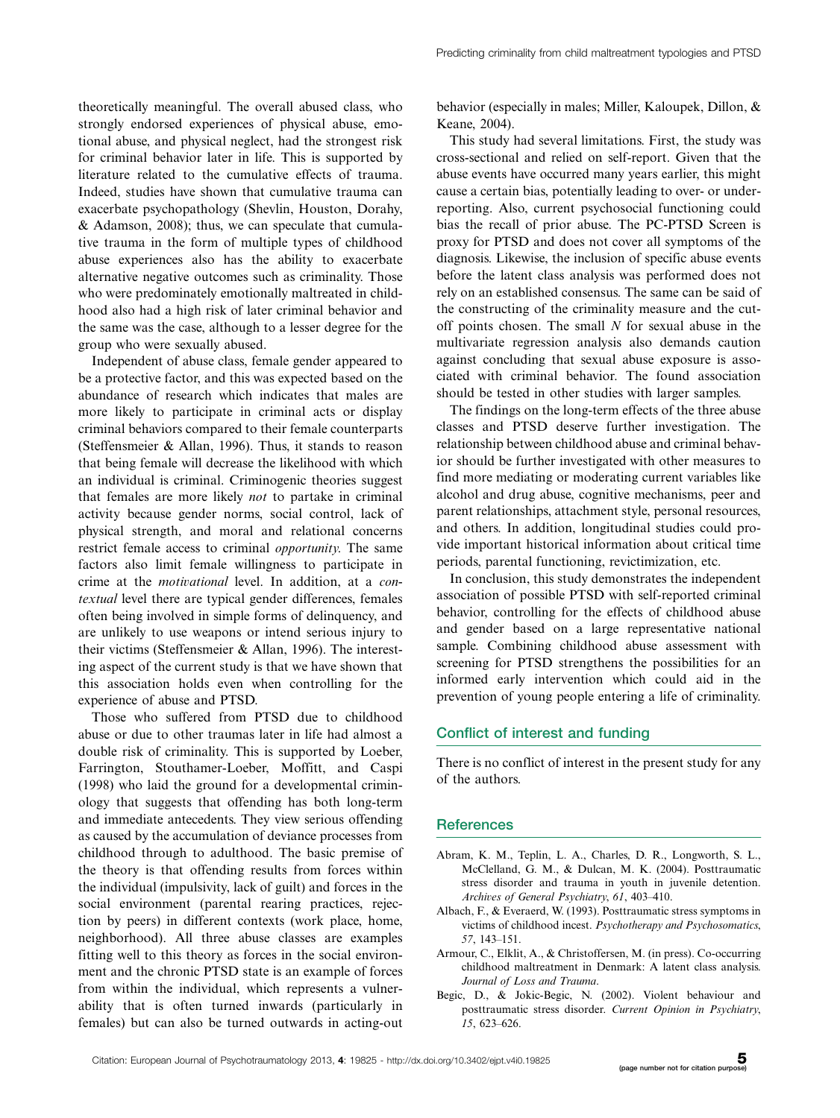theoretically meaningful. The overall abused class, who strongly endorsed experiences of physical abuse, emotional abuse, and physical neglect, had the strongest risk for criminal behavior later in life. This is supported by literature related to the cumulative effects of trauma. Indeed, studies have shown that cumulative trauma can exacerbate psychopathology (Shevlin, Houston, Dorahy, & Adamson, 2008); thus, we can speculate that cumulative trauma in the form of multiple types of childhood abuse experiences also has the ability to exacerbate alternative negative outcomes such as criminality. Those who were predominately emotionally maltreated in childhood also had a high risk of later criminal behavior and the same was the case, although to a lesser degree for the group who were sexually abused.

Independent of abuse class, female gender appeared to be a protective factor, and this was expected based on the abundance of research which indicates that males are more likely to participate in criminal acts or display criminal behaviors compared to their female counterparts (Steffensmeier & Allan, 1996). Thus, it stands to reason that being female will decrease the likelihood with which an individual is criminal. Criminogenic theories suggest that females are more likely not to partake in criminal activity because gender norms, social control, lack of physical strength, and moral and relational concerns restrict female access to criminal opportunity. The same factors also limit female willingness to participate in crime at the motivational level. In addition, at a contextual level there are typical gender differences, females often being involved in simple forms of delinquency, and are unlikely to use weapons or intend serious injury to their victims (Steffensmeier & Allan, 1996). The interesting aspect of the current study is that we have shown that this association holds even when controlling for the experience of abuse and PTSD.

Those who suffered from PTSD due to childhood abuse or due to other traumas later in life had almost a double risk of criminality. This is supported by Loeber, Farrington, Stouthamer-Loeber, Moffitt, and Caspi (1998) who laid the ground for a developmental criminology that suggests that offending has both long-term and immediate antecedents. They view serious offending as caused by the accumulation of deviance processes from childhood through to adulthood. The basic premise of the theory is that offending results from forces within the individual (impulsivity, lack of guilt) and forces in the social environment (parental rearing practices, rejection by peers) in different contexts (work place, home, neighborhood). All three abuse classes are examples fitting well to this theory as forces in the social environment and the chronic PTSD state is an example of forces from within the individual, which represents a vulnerability that is often turned inwards (particularly in females) but can also be turned outwards in acting-out behavior (especially in males; Miller, Kaloupek, Dillon, & Keane, 2004).

This study had several limitations. First, the study was cross-sectional and relied on self-report. Given that the abuse events have occurred many years earlier, this might cause a certain bias, potentially leading to over- or underreporting. Also, current psychosocial functioning could bias the recall of prior abuse. The PC-PTSD Screen is proxy for PTSD and does not cover all symptoms of the diagnosis. Likewise, the inclusion of specific abuse events before the latent class analysis was performed does not rely on an established consensus. The same can be said of the constructing of the criminality measure and the cutoff points chosen. The small  $N$  for sexual abuse in the multivariate regression analysis also demands caution against concluding that sexual abuse exposure is associated with criminal behavior. The found association should be tested in other studies with larger samples.

The findings on the long-term effects of the three abuse classes and PTSD deserve further investigation. The relationship between childhood abuse and criminal behavior should be further investigated with other measures to find more mediating or moderating current variables like alcohol and drug abuse, cognitive mechanisms, peer and parent relationships, attachment style, personal resources, and others. In addition, longitudinal studies could provide important historical information about critical time periods, parental functioning, revictimization, etc.

In conclusion, this study demonstrates the independent association of possible PTSD with self-reported criminal behavior, controlling for the effects of childhood abuse and gender based on a large representative national sample. Combining childhood abuse assessment with screening for PTSD strengthens the possibilities for an informed early intervention which could aid in the prevention of young people entering a life of criminality.

### Conflict of interest and funding

There is no conflict of interest in the present study for any of the authors.

### **References**

- Abram, K. M., Teplin, L. A., Charles, D. R., Longworth, S. L., McClelland, G. M., & Dulcan, M. K. (2004). Posttraumatic stress disorder and trauma in youth in juvenile detention. Archives of General Psychiatry, 61, 403-410.
- Albach, F., & Everaerd, W. (1993). Posttraumatic stress symptoms in victims of childhood incest. Psychotherapy and Psychosomatics, 57, 143-151.
- Armour, C., Elklit, A., & Christoffersen, M. (in press). Co-occurring childhood maltreatment in Denmark: A latent class analysis. Journal of Loss and Trauma.
- Begic, D., & Jokic-Begic, N. (2002). Violent behaviour and posttraumatic stress disorder. Current Opinion in Psychiatry, 15, 623-626.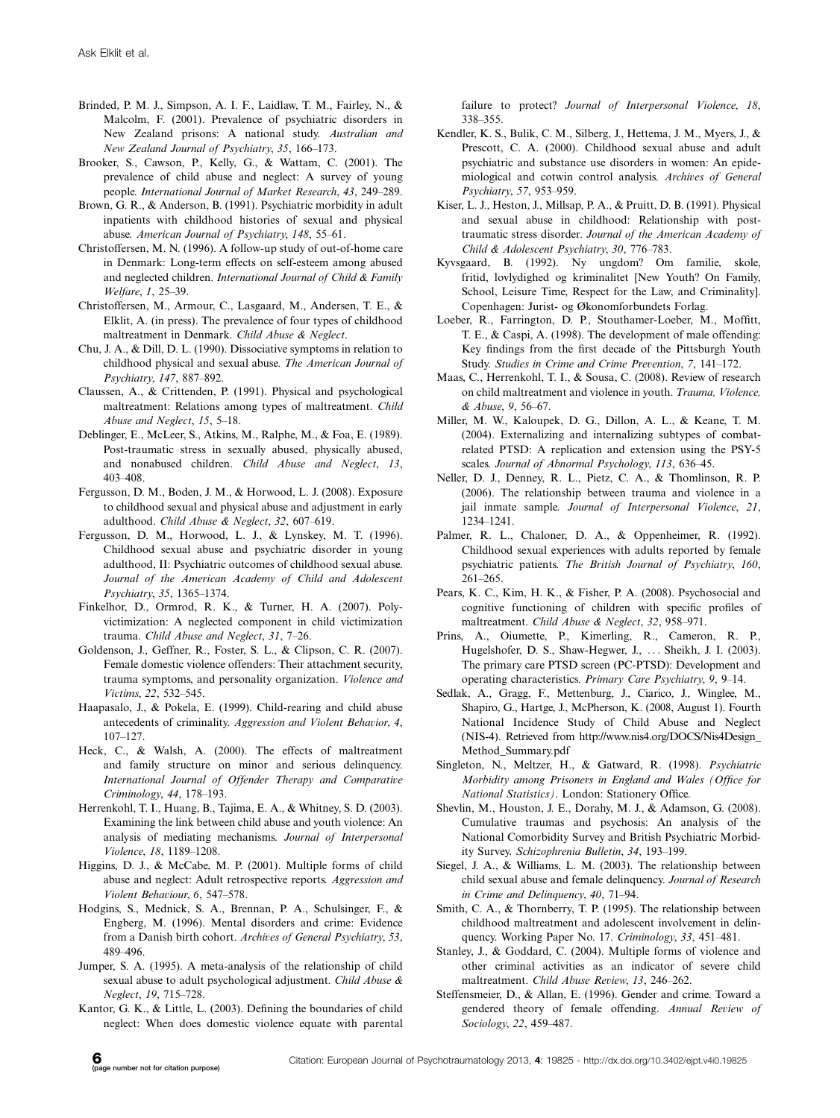- Brinded, P. M. J., Simpson, A. I. F., Laidlaw, T. M., Fairley, N., & Malcolm, F. (2001). Prevalence of psychiatric disorders in New Zealand prisons: A national study. Australian and New Zealand Journal of Psychiatry, 35, 166-173.
- Brooker, S., Cawson, P., Kelly, G., & Wattam, C. (2001). The prevalence of child abuse and neglect: A survey of young people. International Journal of Market Research, 43, 249-289.
- Brown, G. R., & Anderson, B. (1991). Psychiatric morbidity in adult inpatients with childhood histories of sexual and physical abuse. American Journal of Psychiatry, 148, 55-61.
- Christoffersen, M. N. (1996). A follow-up study of out-of-home care in Denmark: Long-term effects on self-esteem among abused and neglected children. International Journal of Child & Family Welfare, 1, 25-39.
- Christoffersen, M., Armour, C., Lasgaard, M., Andersen, T. E., & Elklit, A. (in press). The prevalence of four types of childhood maltreatment in Denmark. Child Abuse & Neglect.
- Chu, J. A., & Dill, D. L. (1990). Dissociative symptoms in relation to childhood physical and sexual abuse. The American Journal of Psychiatry, 147, 887-892.
- Claussen, A., & Crittenden, P. (1991). Physical and psychological maltreatment: Relations among types of maltreatment. Child Abuse and Neglect, 15, 5-18.
- Deblinger, E., McLeer, S., Atkins, M., Ralphe, M., & Foa, E. (1989). Post-traumatic stress in sexually abused, physically abused, and nonabused children. Child Abuse and Neglect, 13, 403408.
- Fergusson, D. M., Boden, J. M., & Horwood, L. J. (2008). Exposure to childhood sexual and physical abuse and adjustment in early adulthood. Child Abuse & Neglect, 32, 607-619.
- Fergusson, D. M., Horwood, L. J., & Lynskey, M. T. (1996). Childhood sexual abuse and psychiatric disorder in young adulthood, II: Psychiatric outcomes of childhood sexual abuse. Journal of the American Academy of Child and Adolescent Psychiatry, 35, 1365-1374.
- Finkelhor, D., Ormrod, R. K., & Turner, H. A. (2007). Polyvictimization: A neglected component in child victimization trauma. Child Abuse and Neglect, 31, 7-26.
- Goldenson, J., Geffner, R., Foster, S. L., & Clipson, C. R. (2007). Female domestic violence offenders: Their attachment security, trauma symptoms, and personality organization. Violence and Victims, 22, 532-545.
- Haapasalo, J., & Pokela, E. (1999). Child-rearing and child abuse antecedents of criminality. Aggression and Violent Behavior, 4,  $107 - 127$ .
- Heck, C., & Walsh, A. (2000). The effects of maltreatment and family structure on minor and serious delinquency. International Journal of Offender Therapy and Comparative Criminology, 44, 178-193.
- Herrenkohl, T. I., Huang, B., Tajima, E. A., & Whitney, S. D. (2003). Examining the link between child abuse and youth violence: An analysis of mediating mechanisms. Journal of Interpersonal Violence, 18, 1189-1208.
- Higgins, D. J., & McCabe, M. P. (2001). Multiple forms of child abuse and neglect: Adult retrospective reports. Aggression and Violent Behaviour, 6, 547-578.
- Hodgins, S., Mednick, S. A., Brennan, P. A., Schulsinger, F., & Engberg, M. (1996). Mental disorders and crime: Evidence from a Danish birth cohort. Archives of General Psychiatry, 53, 489496.
- Jumper, S. A. (1995). A meta-analysis of the relationship of child sexual abuse to adult psychological adjustment. Child Abuse & Neglect, 19, 715-728.
- Kantor, G. K., & Little, L. (2003). Defining the boundaries of child neglect: When does domestic violence equate with parental

failure to protect? Journal of Interpersonal Violence, 18, 338-355.

- Kendler, K. S., Bulik, C. M., Silberg, J., Hettema, J. M., Myers, J., & Prescott, C. A. (2000). Childhood sexual abuse and adult psychiatric and substance use disorders in women: An epidemiological and cotwin control analysis. Archives of General Psychiatry, 57, 953-959.
- Kiser, L. J., Heston, J., Millsap, P. A., & Pruitt, D. B. (1991). Physical and sexual abuse in childhood: Relationship with posttraumatic stress disorder. Journal of the American Academy of Child & Adolescent Psychiatry, 30, 776-783.
- Kyvsgaard, B. (1992). Ny ungdom? Om familie, skole, fritid, lovlydighed og kriminalitet [New Youth? On Family, School, Leisure Time, Respect for the Law, and Criminality]. Copenhagen: Jurist- og Økonomforbundets Forlag.
- Loeber, R., Farrington, D. P., Stouthamer-Loeber, M., Moffitt, T. E., & Caspi, A. (1998). The development of male offending: Key findings from the first decade of the Pittsburgh Youth Study. Studies in Crime and Crime Prevention, 7, 141–172.
- Maas, C., Herrenkohl, T. I., & Sousa, C. (2008). Review of research on child maltreatment and violence in youth. Trauma, Violence, & Abuse, 9, 56-67.
- Miller, M. W., Kaloupek, D. G., Dillon, A. L., & Keane, T. M. (2004). Externalizing and internalizing subtypes of combatrelated PTSD: A replication and extension using the PSY-5 scales. Journal of Abnormal Psychology, 113, 636-45.
- Neller, D. J., Denney, R. L., Pietz, C. A., & Thomlinson, R. P. (2006). The relationship between trauma and violence in a jail inmate sample. Journal of Interpersonal Violence, 21, 1234-1241.
- Palmer, R. L., Chaloner, D. A., & Oppenheimer, R. (1992). Childhood sexual experiences with adults reported by female psychiatric patients. The British Journal of Psychiatry, 160,  $261 - 265$ .
- Pears, K. C., Kim, H. K., & Fisher, P. A. (2008). Psychosocial and cognitive functioning of children with specific profiles of maltreatment. Child Abuse & Neglect, 32, 958-971.
- Prins, A., Oiumette, P., Kimerling, R., Cameron, R. P., Hugelshofer, D. S., Shaw-Hegwer, J., ... Sheikh, J. I. (2003). The primary care PTSD screen (PC-PTSD): Development and operating characteristics. Primary Care Psychiatry, 9, 9–14.
- Sedlak, A., Gragg, F., Mettenburg, J., Ciarico, J., Winglee, M., Shapiro, G., Hartge, J., McPherson, K. (2008, August 1). Fourth National Incidence Study of Child Abuse and Neglect (NIS-4). Retrieved from [http://www.nis4.org/DOCS/Nis4Design\\_](http://www.nis4.org/DOCS/Nis4Design_Method_Summary.pdf) [Method\\_Summary.pdf](http://www.nis4.org/DOCS/Nis4Design_Method_Summary.pdf)
- Singleton, N., Meltzer, H., & Gatward, R. (1998). Psychiatric Morbidity among Prisoners in England and Wales (Office for National Statistics). London: Stationery Office.
- Shevlin, M., Houston, J. E., Dorahy, M. J., & Adamson, G. (2008). Cumulative traumas and psychosis: An analysis of the National Comorbidity Survey and British Psychiatric Morbidity Survey. Schizophrenia Bulletin, 34, 193-199.
- Siegel, J. A., & Williams, L. M. (2003). The relationship between child sexual abuse and female delinquency. Journal of Research in Crime and Delinquency, 40, 71-94.
- Smith, C. A., & Thornberry, T. P. (1995). The relationship between childhood maltreatment and adolescent involvement in delinquency. Working Paper No. 17. Criminology, 33, 451-481.
- Stanley, J., & Goddard, C. (2004). Multiple forms of violence and other criminal activities as an indicator of severe child maltreatment. Child Abuse Review, 13, 246-262.
- Steffensmeier, D., & Allan, E. (1996). Gender and crime. Toward a gendered theory of female offending. Annual Review of Sociology, 22, 459-487.